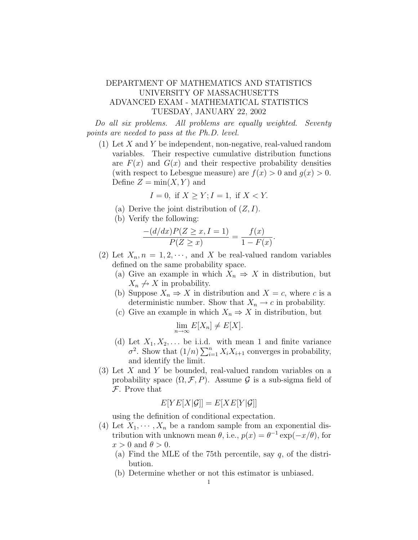## DEPARTMENT OF MATHEMATICS AND STATISTICS UNIVERSITY OF MASSACHUSETTS ADVANCED EXAM - MATHEMATICAL STATISTICS TUESDAY, JANUARY 22, 2002

Do all six problems. All problems are equally weighted. Seventy points are needed to pass at the Ph.D. level.

(1) Let X and Y be independent, non-negative, real-valued random variables. Their respective cumulative distribution functions are  $F(x)$  and  $G(x)$  and their respective probability densities (with respect to Lebesgue measure) are  $f(x) > 0$  and  $q(x) > 0$ . Define  $Z = min(X, Y)$  and

$$
I = 0, \text{ if } X \ge Y; I = 1, \text{ if } X < Y.
$$

- (a) Derive the joint distribution of  $(Z, I)$ .
- (b) Verify the following:

$$
\frac{-(d/dx)P(Z \ge x, I = 1)}{P(Z \ge x)} = \frac{f(x)}{1 - F(x)}.
$$

- (2) Let  $X_n$ ,  $n = 1, 2, \dots$ , and X be real-valued random variables defined on the same probability space.
	- (a) Give an example in which  $X_n \Rightarrow X$  in distribution, but  $X_n \nightharpoonup X$  in probability.
	- (b) Suppose  $X_n \Rightarrow X$  in distribution and  $X = c$ , where c is a deterministic number. Show that  $X_n \to c$  in probability.
	- (c) Give an example in which  $X_n \Rightarrow X$  in distribution, but

$$
\lim_{n \to \infty} E[X_n] \neq E[X].
$$

- (d) Let  $X_1, X_2, \ldots$  be i.i.d. with mean 1 and finite variance  $\sigma^2$ . Show that  $(1/n) \sum_{i=1}^n X_i X_{i+1}$  converges in probability, and identify the limit.
- (3) Let X and Y be bounded, real-valued random variables on a probability space  $(\Omega, \mathcal{F}, P)$ . Assume G is a sub-sigma field of F. Prove that

$$
E[YE[X|\mathcal{G}]] = E[XE[Y|\mathcal{G}]]
$$

using the definition of conditional expectation.

- (4) Let  $X_1, \dots, X_n$  be a random sample from an exponential distribution with unknown mean  $\theta$ , i.e.,  $p(x) = \theta^{-1} \exp(-x/\theta)$ , for  $x > 0$  and  $\theta > 0$ .
	- (a) Find the MLE of the 75th percentile, say  $q$ , of the distribution.
	- (b) Determine whether or not this estimator is unbiased.